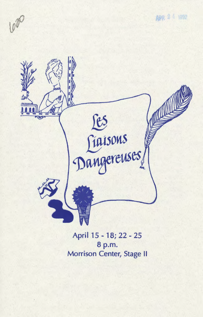620

APR 2 4 1992



April 15 - 18; 22 - 25 8 p.m. Morrison Center, Stage II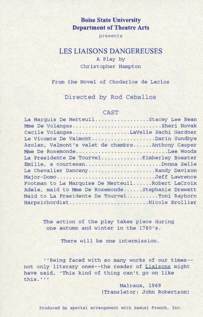## **Boise State University Department of Theatre Arts**

presents

# **LES LIAISONS DANGEREUSES**

### A Play by Christopher Hampton

From the Novel of Choderlos de Laclos

Directed by Rod Ceballos

#### CAST

| $\sim$                                           |
|--------------------------------------------------|
| La Marquis De MerteuilStacey Lee Bean            |
| Mme De VolangesSheri Novak                       |
| Cecile VolangesLaVelle Sachi Gardner             |
| Le Vicomte De ValmontDarin Sundbye               |
| Azolan, Valmont's valet de chambreAnthony Casper |
| Mme De RosemondeLee Woods                        |
|                                                  |
| Emilie, a courtesanDonna Selle                   |
| Le Chevalier DancenyRandy Davison                |
| Major-DomoJeff Lawrence                          |
| Footman to La Marquise De MerteuilRobert LaCroix |
| Adele, maid to Mme De RosemondeStephanie Drewett |
| Maid to La Presidente De TourvelToni Rayborn     |
| HarpsichordistNicole Brollier                    |
|                                                  |

The action of the play takes place during one autumn and winter in the 1780's.

There will be one intermission.

''Being faced with so many works of our times- not only literary ones--the reader of Liaisons might have said, 'This kind of thing can't go on like this.'''

> Malraux, 1969 (Translator: John Robertson)

Produced by special arrangement with Samuel French, Inc.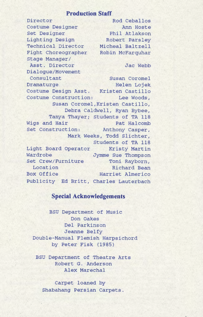#### **Production Staff**

Director Costume Designer Set Designer Lighting Design Robert Parsley Technical Director Micheal Baltzell Fight Choreographer Robin McFarquhar Stage Manager/ Asst. Director Dialogue / Movement Consultant Dramaturge Costume Design Asst. Kristen Castillo Rod Ceballos Ann Hoste Phil Atlakson Jac Webb susan Coromel Helen Lojek Costume Construction: Lee Woods, Susan Coromel,Kristen Castillo, Debra Caldwell, Ryan Bybee, Tanya Thayer; Students of TA 118 Wigs and Hair Pat Halcomb Set Construction: Anthony Casper, Mark Weeks, Todd Slichter, Students of TA 118 Light Board Operator Kristy Martin Wardrobe Jymme Sue Thompson Set Crew/Furniture Toni Rayborn, Location Richard Bean Box Office Publicity Ed Britt, Charles Lauterbach Harriet Almerico

### **Special Acknowledgements**

BSU Department of Music Don Oakes Del Parkinson Jeanne Belfy Double-Manual Flemish Harpsichord by Peter Fisk (1985)

BSU Department of Theatre Arts Robert G. Anderson Alex Marechal

Carpet loaned by Shabahang Persian Carpets.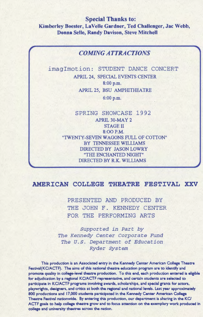Special Thanks to: Kimberley Boester, LaVelle Gardner, Ted Challenger, Jac Webb, Donna Selle, Randy Davison, Steve Mitchell

### *COMING ATTRACTIONS*

imagImotion: STUDENT DANCE CONCERT APRIL 24, SPECIAL EVENTS CENTER 8:00 p.m. APRIL 25, BSU AMPHITHEATRE  $6:00$  p.m.

> SPRING SHOWCASE 1992 APRIL 30-MAY 2 STAGE II 8:00P.M. "TWENTY -SEVEN WAGONS FULL OF COTTON" BY TENNESSEE WILLIAMS DIRECTED BY JASON LOWRY "THE ENCHANTED NIGHT" DIRECTED BY R.K. WILLIAMS

## AMERICAN COLLEGE THEATRE FESTIVAL XXV

PRESENTED AND PRODUCED BY THE JOHN F. KENNEDY CENTER FOR THE PERFORMING ARTS

*Supported in Part by The Kennedy Center Corporate Fund The u.s. Department of Education Ryder System* 

This production is an Associated entry in the Kennedy Center American College Theatre Festivai(KC/ACTF). The aims of this national theatre education program are to identify and promote quality in college-level theatre production. To this end, each production entered is eligible for adjudication by a regional KC/ACTF representative, and certain students are selected to participate in KC/ACTF programs involving awards, scholarships, and special grants for actors, playwrights, designers, and critics at both the regional and national levels. Last year approximately 800 productions and 17,000 students participated in the Kennedy Center American College Theatre Festival nationwide. By entering this production, our department is sharing in the KC/ ACTF goals to help college theatre grow and to focus attention on the exemplary work produced in college and univenity theatres across the nation.